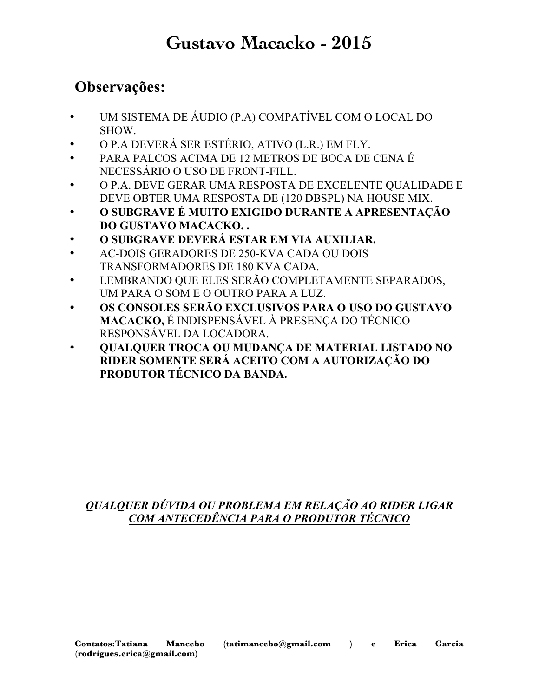## **Gustavo Macacko - 2015**

### **Observações:**

- UM SISTEMA DE ÁUDIO (P.A) COMPATÍVEL COM O LOCAL DO SHOW.
- O P.A DEVERÁ SER ESTÉRIO, ATIVO (L.R.) EM FLY.
- PARA PALCOS ACIMA DE 12 METROS DE BOCA DE CENA É NECESSÁRIO O USO DE FRONT-FILL.
- O P.A. DEVE GERAR UMA RESPOSTA DE EXCELENTE QUALIDADE E DEVE OBTER UMA RESPOSTA DE (120 DBSPL) NA HOUSE MIX.
- **O SUBGRAVE É MUITO EXIGIDO DURANTE A APRESENTAÇÃO DO GUSTAVO MACACKO. .**
- **O SUBGRAVE DEVERÁ ESTAR EM VIA AUXILIAR.**
- AC-DOIS GERADORES DE 250-KVA CADA OU DOIS TRANSFORMADORES DE 180 KVA CADA.
- LEMBRANDO QUE ELES SERÃO COMPLETAMENTE SEPARADOS, UM PARA O SOM E O OUTRO PARA A LUZ.
- **OS CONSOLES SERÃO EXCLUSIVOS PARA O USO DO GUSTAVO MACACKO,** É INDISPENSÁVEL À PRESENÇA DO TÉCNICO RESPONSÁVEL DA LOCADORA.
- **QUALQUER TROCA OU MUDANÇA DE MATERIAL LISTADO NO RIDER SOMENTE SERÁ ACEITO COM A AUTORIZAÇÃO DO PRODUTOR TÉCNICO DA BANDA.**

### *QUALQUER DÚVIDA OU PROBLEMA EM RELAÇÃO AO RIDER LIGAR COM ANTECEDÊNCIA PARA O PRODUTOR TÉCNICO*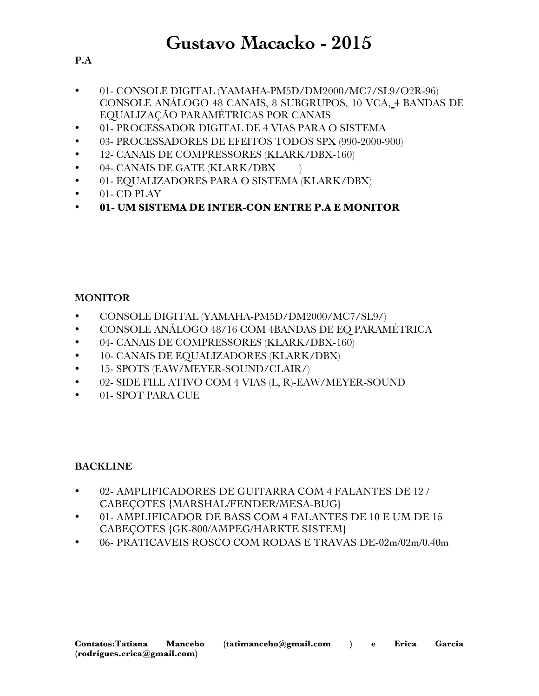- **P.A**
- 01- CONSOLE DIGITAL (YAMAHA-PM5D/DM2000/MC7/SL9/O2R-96) CONSOLE ANÁLOGO 48 CANAIS, 8 SUBGRUPOS, 10 VCA, 4 BANDAS DE EQUALIZAÇÃO PARAMÉTRICAS POR CANAIS
- 01- PROCESSADOR DIGITAL DE 4 VIAS PARA O SISTEMA
- 03- PROCESSADORES DE EFEITOS TODOS SPX (990-2000-900)
- 12- CANAIS DE COMPRESSORES (KLARK/DBX-160)
- 04- CANAIS DE GATE (KLARK/DBX)
- 01- EQUALIZADORES PARA O SISTEMA (KLARK/DBX)
- 01- CD PLAY
- **01- UM SISTEMA DE INTER-CON ENTRE P.A E MONITOR**

#### **MONITOR**

- CONSOLE DIGITAL (YAMAHA-PM5D/DM2000/MC7/SL9/)
- CONSOLE ANÁLOGO 48/16 COM 4BANDAS DE EQ PARAMÉTRICA
- 04- CANAIS DE COMPRESSORES (KLARK/DBX-160)
- 10- CANAIS DE EQUALIZADORES (KLARK/DBX)
- 15- SPOTS (EAW/MEYER-SOUND/CLAIR/)
- 02- SIDE FILL ATIVO COM 4 VIAS (L, R)-EAW/MEYER-SOUND
- 01- SPOT PARA CUE

#### **BACKLINE**

- 02- AMPLIFICADORES DE GUITARRA COM 4 FALANTES DE 12 / CABEÇOTES {MARSHAL/FENDER/MESA-BUG}
- 01- AMPLIFICADOR DE BASS COM 4 FALANTES DE 10 E UM DE 15 CABEÇOTES {GK-800/AMPEG/HARKTE SISTEM}
- 06- PRATICAVEIS ROSCO COM RODAS E TRAVAS DE-02m/02m/0.40m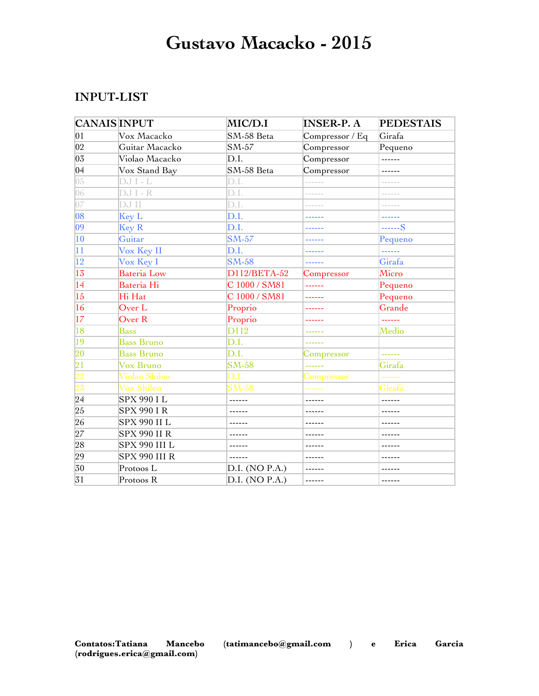## **Gustavo Macacko - 2015**

#### **INPUT-LIST**

| <b>CANAIS INPUT</b> |                     | MIC/D.I        | <b>INSER-P. A</b>     | <b>PEDESTAIS</b>                   |
|---------------------|---------------------|----------------|-----------------------|------------------------------------|
| 01                  | Vox Macacko         | SM-58 Beta     | Compressor / Eq       | Girafa                             |
| 02                  | Guitar Macacko      | SM-57          | Compressor            | Pequeno                            |
| 03                  | Violao Macacko      | D.I.           | Compressor            | ------                             |
| 0 <sup>4</sup>      | Vox Stand Bay       | SM-58 Beta     | Compressor            | ------                             |
| 05                  | DJ I - L            | D.I.           |                       | $\sim$ $\sim$ $\sim$ $\sim$ $\sim$ |
| 06                  | DJ I - R            | D.I.           | ------                |                                    |
| 07                  | DJ II               | D.I.           | ------                |                                    |
| 08                  | Key L               | D.I.           | ------                | ------                             |
| $ 09\rangle$        | <b>Key R</b>        | D.I.           | ------                | ------S                            |
| 10                  | Guitar              | <b>SM-57</b>   | ------                | Pequeno                            |
| $\overline{11}$     | Vox Key II          | D.I.           | ------                | للمستستنب                          |
| $ 12\rangle$        | Vox Key I           | <b>SM-58</b>   | ------                | Girafa                             |
| 13                  | Bateria Low         | D112/BETA-52   | Compressor            | Micro                              |
| 14                  | Bateria Hi          | C 1000 / SM81  | بداينا ببارينا بنارين | Pequeno                            |
| 15                  | Hi Hat              | C 1000 / SM81  | ------                | Pequeno                            |
| 16                  | Over L              | Proprio        |                       | Grande                             |
| 17                  | Over R              | Proprio        |                       | 222222                             |
| 18                  | <b>Bass</b>         | D112           | ------                | Medio                              |
| 19                  | <b>Bass Bruno</b>   | D.I.           | ------                |                                    |
| 20                  | <b>Bass Bruno</b>   | D.I.           | Compressor            | ------                             |
| 21                  | Vox Bruno           | <b>SM-58</b>   | ------                | Girafa                             |
| $\overline{22}$     | Violao Shilon       | D.I.           | Compressor            |                                    |
| $\overline{23}$     | Vox Shilon          | $SM-58$        |                       | Girafa                             |
| 24                  | SPX 990 I L         | ------         | ------                | ------                             |
| 25                  | <b>SPX 990 IR</b>   |                |                       |                                    |
| 26                  | SPX 990 II L        | ------         | ------                | ------                             |
| 27                  | <b>SPX 990 II R</b> | ------         | ------                | ------                             |
| 28                  | SPX 990 III L       | ------         | ------                |                                    |
| 29                  | SPX 990 III R       |                |                       |                                    |
| 30                  | Protoos L           | D.I. (NO P.A.) |                       |                                    |
| 31                  | Protoos R           | D.I. (NO P.A.) | ------                | ------                             |